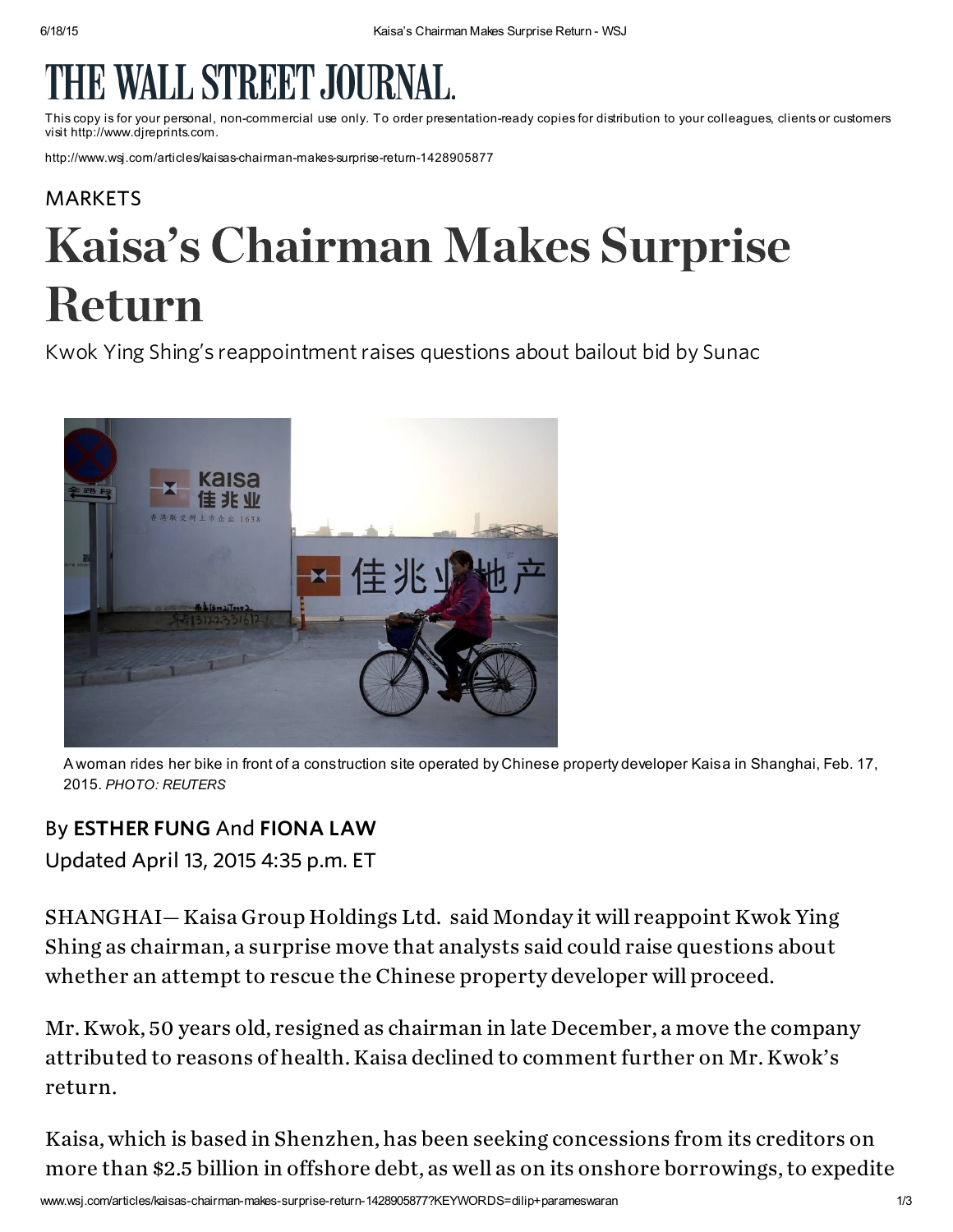## LL STREET JOU

This copy is for your personal, non-commercial use only. To order presentation-ready copies for distribution to your colleagues, clientsor customers visit http://www.djreprints.com.

http://www.wsj.com/articles/kaisas-chairman-makes-surprise-return-1428905877

## [MARKETS](http://www.wsj.com/news/markets)

Kwok Ying Shing's reappointment raises questions about bailout bid by Sunac



A woman rides her bike in front of a construction site operated by Chinese property developer Kaisa in Shanghai, Feb. 17, 2015. PHOTO: REUTERS

## By ESTHER FUNG And FIONA LAW

Updated April 13, 2015 4:35 p.m. ET

SHANGHAI— Kaisa Group [Holdings](http://quotes.wsj.com/HK/XHKG/1638) Ltd. said Monday it will reappoint Kwok Ying Shing as chairman, a surprise move that analysts said could raise questions about whether an attempt to rescue the Chinese property developer will proceed.

Mr. Kwok, 50 years old, resigned as chairman in late December, a move the company attributed to reasons of health. Kaisa declined to comment further on Mr. Kwok's return.

Kaisa, which is based in Shenzhen, has been seeking concessions from its creditors on more than \$2.5 billion in offshore debt, as well as on its onshore borrowings, to expedite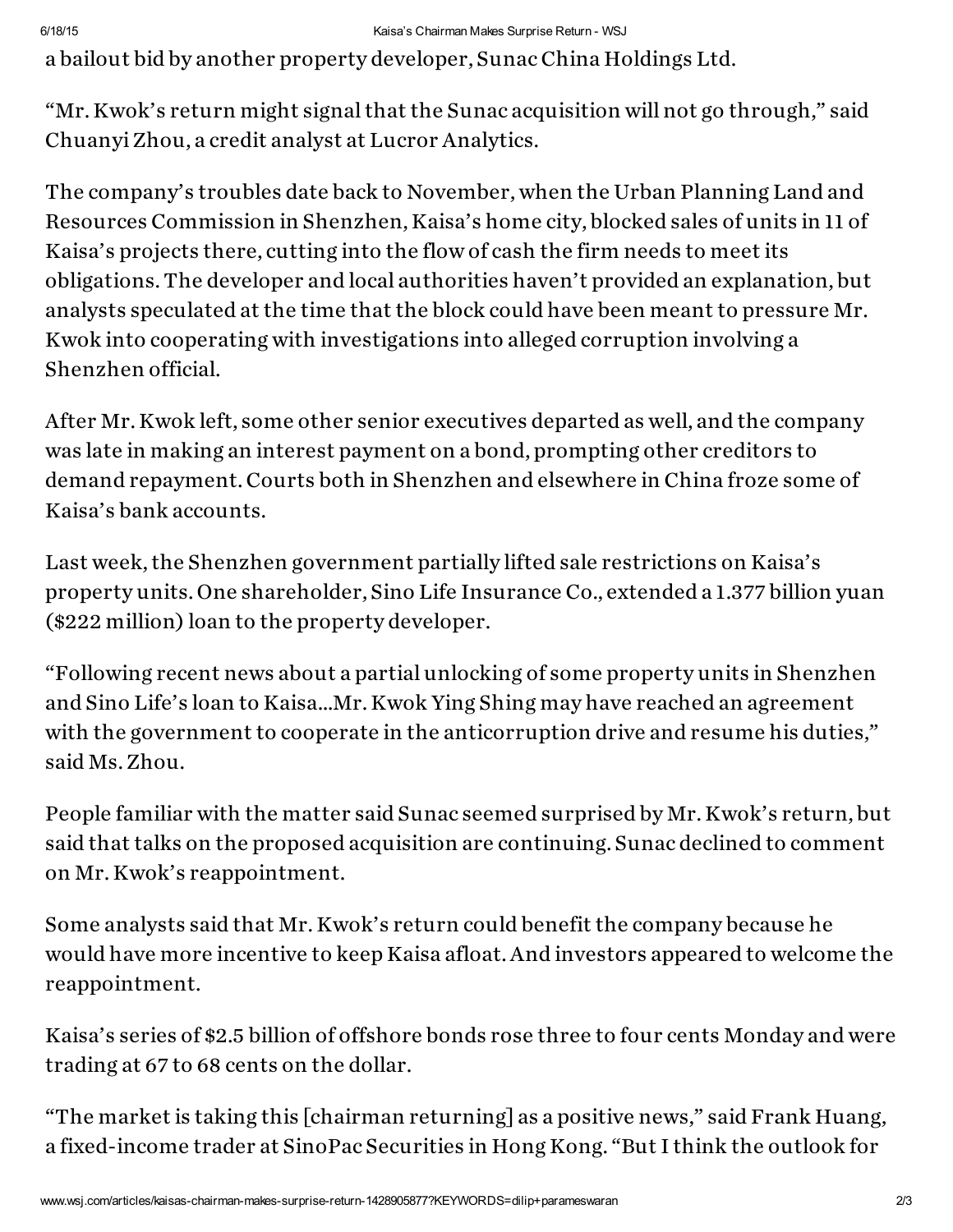a bailout bid by another property developer, Sunac China [Holdings](http://quotes.wsj.com/HK/XHKG/1918) Ltd.

"Mr. Kwok's return might signal that the Sunac acquisition willnot go through," said ChuanyiZhou, a credit analyst at Lucror Analytics.

The company's troubles date back to November, when the Urban Planning Land and Resources Commission in Shenzhen, Kaisa's home city, blocked sales of units in 11 of Kaisa's projects there, cutting into the flow of cash the firm needs to meet its obligations. The developer and local authorities haven't provided an explanation, but analysts speculated at the time that the block could have been meant to pressure Mr. Kwok into cooperating with investigations into alleged corruption involving a Shenzhen official.

After Mr. Kwok left, some other senior executives departed as well, and the company was late in making an interest payment on a bond, prompting other creditors to demand repayment. Courts both in Shenzhen and elsewhere in China froze some of Kaisa's bank accounts.

Last week, the Shenzhen [government](http://www.wsj.com/articles/chinas-kaisa-says-some-property-sales-restrictions-have-been-lifted-by-shenzhen-authorities-1428558866) partially lifted sale restrictions on Kaisa's property units. One shareholder, Sino Life Insurance Co., extended a 1.377 billion yuan (\$222 million) loan to the property developer.

"Following recent news about a partial unlocking of some property units in Shenzhen and Sino Life's loan to Kaisa…Mr. Kwok Ying Shing may have reached an agreement with the government to cooperate in the anticorruption drive and resume his duties," said Ms.Zhou.

People familiar with the matter said Sunac seemed surprised by Mr. Kwok's return, but said that talks on the proposed acquisition are continuing. Sunac declined to comment on Mr. Kwok's reappointment.

Some analysts said that Mr. Kwok's return could benefit the company because he would have more incentive to keep Kaisa afloat. And investors appeared to welcome the reappointment.

Kaisa's series of \$2.5 billion of offshore bonds rose three to four cents Monday and were trading at 67 to 68 cents on the dollar.

"The market is taking this [chairman returning] as a positive news," said Frank Huang, a fixed-income trader at SinoPac Securities in Hong Kong. "But I think the outlook for